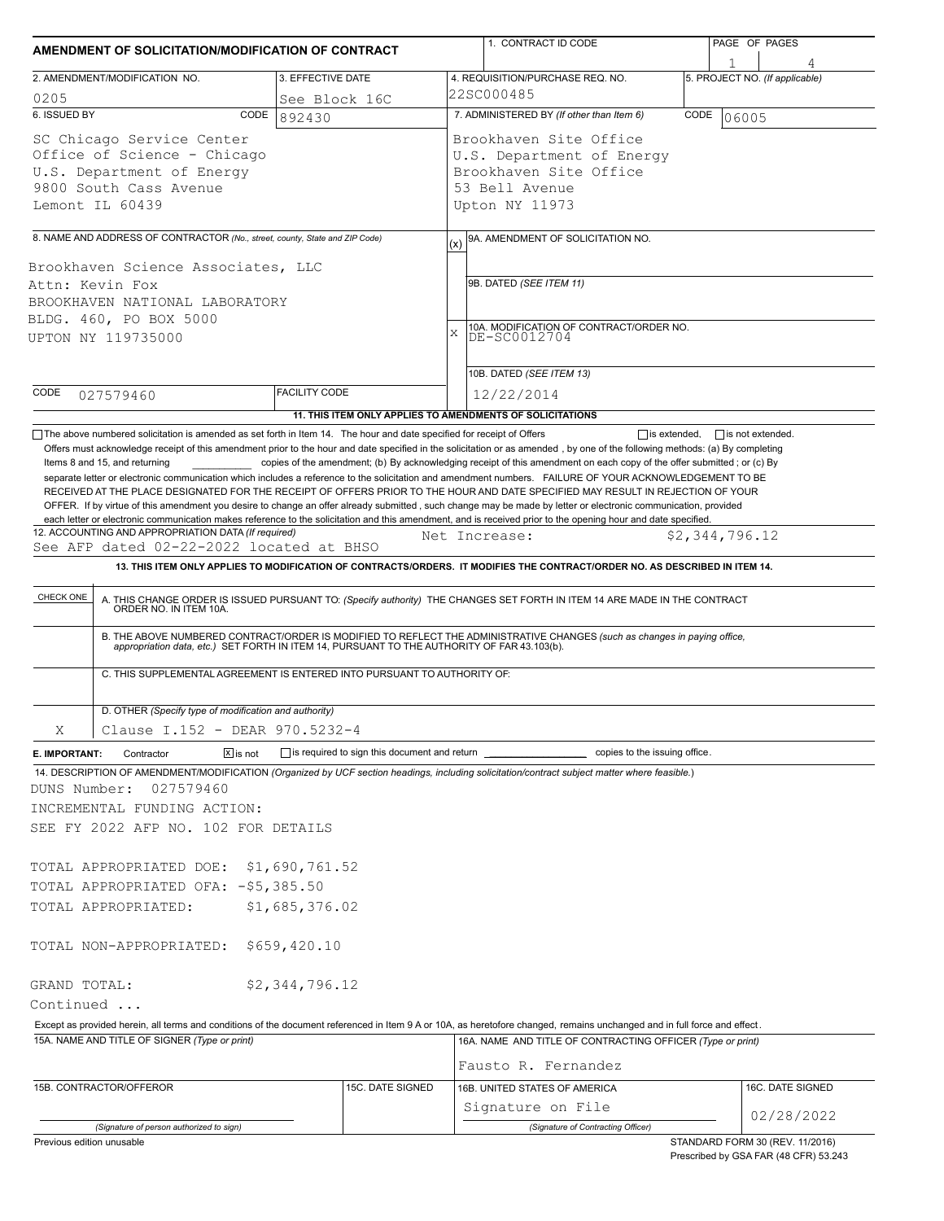| AMENDMENT OF SOLICITATION/MODIFICATION OF CONTRACT                                                                                                                                                                                                                                                                        |                                |                                                           |               | 1. CONTRACT ID CODE                                                                                                                                                                                                                                                             |      | PAGE OF PAGES                  |                                |  |
|---------------------------------------------------------------------------------------------------------------------------------------------------------------------------------------------------------------------------------------------------------------------------------------------------------------------------|--------------------------------|-----------------------------------------------------------|---------------|---------------------------------------------------------------------------------------------------------------------------------------------------------------------------------------------------------------------------------------------------------------------------------|------|--------------------------------|--------------------------------|--|
| 2. AMENDMENT/MODIFICATION NO.                                                                                                                                                                                                                                                                                             | 3. EFFECTIVE DATE              |                                                           |               | 4. REQUISITION/PURCHASE REQ. NO.                                                                                                                                                                                                                                                |      | 5. PROJECT NO. (If applicable) |                                |  |
| 0205                                                                                                                                                                                                                                                                                                                      |                                | See Block 16C                                             | 22SC000485    |                                                                                                                                                                                                                                                                                 |      |                                |                                |  |
| 6. ISSUED BY                                                                                                                                                                                                                                                                                                              | CODE<br>892430                 |                                                           |               | 7. ADMINISTERED BY (If other than Item 6)                                                                                                                                                                                                                                       | CODE | 06005                          |                                |  |
| SC Chicago Service Center<br>Office of Science - Chicago<br>U.S. Department of Energy<br>9800 South Cass Avenue<br>Lemont IL 60439                                                                                                                                                                                        |                                |                                                           |               | Brookhaven Site Office<br>U.S. Department of Energy<br>Brookhaven Site Office<br>53 Bell Avenue<br>Upton NY 11973                                                                                                                                                               |      |                                |                                |  |
| 8. NAME AND ADDRESS OF CONTRACTOR (No., street, county, State and ZIP Code)                                                                                                                                                                                                                                               |                                |                                                           |               | 9A. AMENDMENT OF SOLICITATION NO.                                                                                                                                                                                                                                               |      |                                |                                |  |
| Brookhaven Science Associates, LLC<br>Attn: Kevin Fox<br>BROOKHAVEN NATIONAL LABORATORY<br>BLDG. 460, PO BOX 5000<br>UPTON NY 119735000                                                                                                                                                                                   |                                |                                                           | (x)<br>X      | 9B. DATED (SEE ITEM 11)<br>10A. MODIFICATION OF CONTRACT/ORDER NO.<br>DE-SC0012704<br>10B. DATED (SEE ITEM 13)                                                                                                                                                                  |      |                                |                                |  |
| CODE<br>027579460                                                                                                                                                                                                                                                                                                         | <b>FACILITY CODE</b>           |                                                           |               | 12/22/2014                                                                                                                                                                                                                                                                      |      |                                |                                |  |
|                                                                                                                                                                                                                                                                                                                           |                                | 11. THIS ITEM ONLY APPLIES TO AMENDMENTS OF SOLICITATIONS |               |                                                                                                                                                                                                                                                                                 |      |                                |                                |  |
| each letter or electronic communication makes reference to the solicitation and this amendment, and is received prior to the opening hour and date specified.<br>12. ACCOUNTING AND APPROPRIATION DATA (If required)<br>See AFP dated 02-22-2022 located at BHSO<br>CHECK ONE                                             |                                |                                                           | Net Increase: | 13. THIS ITEM ONLY APPLIES TO MODIFICATION OF CONTRACTS/ORDERS. IT MODIFIES THE CONTRACT/ORDER NO. AS DESCRIBED IN ITEM 14.<br>A. THIS CHANGE ORDER IS ISSUED PURSUANT TO: (Specify authority) THE CHANGES SET FORTH IN ITEM 14 ARE MADE IN THE CONTRACT ORDER NO. IN ITEM 10A. |      | \$2,344,796.12                 |                                |  |
| C. THIS SUPPLEMENTAL AGREEMENT IS ENTERED INTO PURSUANT TO AUTHORITY OF:                                                                                                                                                                                                                                                  |                                |                                                           |               | B. THE ABOVE NUMBERED CONTRACT/ORDER IS MODIFIED TO REFLECT THE ADMINISTRATIVE CHANGES (such as changes in paying office, appropriation data, etc.) SET FORTH IN ITEM 14, PURSUANT TO THE AUTHORITY OF FAR 43.103(b).                                                           |      |                                |                                |  |
|                                                                                                                                                                                                                                                                                                                           |                                |                                                           |               |                                                                                                                                                                                                                                                                                 |      |                                |                                |  |
| D. OTHER (Specify type of modification and authority)                                                                                                                                                                                                                                                                     |                                |                                                           |               |                                                                                                                                                                                                                                                                                 |      |                                |                                |  |
| Clause I.152 - DEAR 970.5232-4<br>Χ<br>E. IMPORTANT:<br>Contractor                                                                                                                                                                                                                                                        | $\mathbf{X}$ is not            |                                                           |               |                                                                                                                                                                                                                                                                                 |      |                                |                                |  |
| 14. DESCRIPTION OF AMENDMENT/MODIFICATION (Organized by UCF section headings, including solicitation/contract subject matter where feasible.)<br>027579460                                                                                                                                                                |                                |                                                           |               |                                                                                                                                                                                                                                                                                 |      |                                |                                |  |
|                                                                                                                                                                                                                                                                                                                           | \$1,685,376.02                 |                                                           |               |                                                                                                                                                                                                                                                                                 |      |                                |                                |  |
|                                                                                                                                                                                                                                                                                                                           | \$659,420.10<br>\$2,344,796.12 |                                                           |               |                                                                                                                                                                                                                                                                                 |      |                                |                                |  |
| Except as provided herein, all terms and conditions of the document referenced in Item 9 A or 10A, as heretofore changed, remains unchanged and in full force and effect.                                                                                                                                                 |                                |                                                           |               |                                                                                                                                                                                                                                                                                 |      |                                |                                |  |
| 15A. NAME AND TITLE OF SIGNER (Type or print)                                                                                                                                                                                                                                                                             |                                |                                                           |               | 16A. NAME AND TITLE OF CONTRACTING OFFICER (Type or print)<br>Fausto R. Fernandez                                                                                                                                                                                               |      |                                |                                |  |
| DUNS Number:<br>INCREMENTAL FUNDING ACTION:<br>SEE FY 2022 AFP NO. 102 FOR DETAILS<br>TOTAL APPROPRIATED DOE: \$1,690,761.52<br>TOTAL APPROPRIATED OFA: -\$5,385.50<br>TOTAL APPROPRIATED:<br>TOTAL NON-APPROPRIATED:<br>GRAND TOTAL:<br>Continued<br>15B. CONTRACTOR/OFFEROR<br>(Signature of person authorized to sign) |                                | 15C. DATE SIGNED                                          |               | 16B. UNITED STATES OF AMERICA<br>Signature on File<br>(Signature of Contracting Officer)                                                                                                                                                                                        |      |                                | 16C. DATE SIGNED<br>02/28/2022 |  |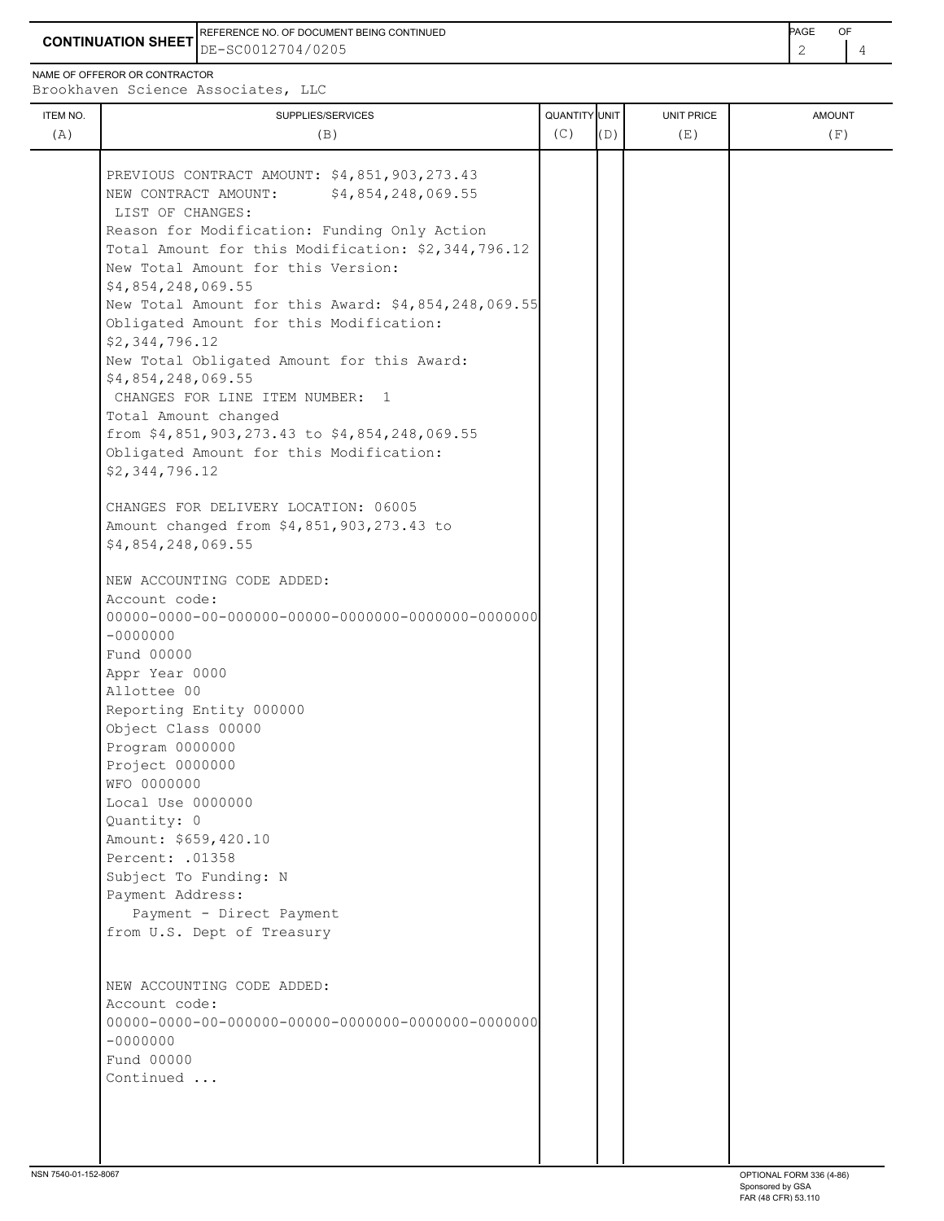**CONTINUATION SHEET** DE-SC0012704/0205 2 4 REFERENCE NO. OF DOCUMENT BEING CONTINUED **AGE ACCUMENT ACCUMENT OF A CONTINUED** 

NAME OF OFFEROR OR CONTRACTOR

Brookhaven Science Associates, LLC

| ITEM NO.<br>(A) | SUPPLIES/SERVICES<br>(B)                                                                   | QUANTITY UNIT<br>(C) | (D) | UNIT PRICE<br>(E) | <b>AMOUNT</b><br>(F) |
|-----------------|--------------------------------------------------------------------------------------------|----------------------|-----|-------------------|----------------------|
|                 | PREVIOUS CONTRACT AMOUNT: \$4,851,903,273.43<br>NEW CONTRACT AMOUNT:<br>\$4,854,248,069.55 |                      |     |                   |                      |
|                 | LIST OF CHANGES:                                                                           |                      |     |                   |                      |
|                 | Reason for Modification: Funding Only Action                                               |                      |     |                   |                      |
|                 | Total Amount for this Modification: \$2,344,796.12<br>New Total Amount for this Version:   |                      |     |                   |                      |
|                 | \$4,854,248,069.55                                                                         |                      |     |                   |                      |
|                 | New Total Amount for this Award: \$4,854,248,069.55                                        |                      |     |                   |                      |
|                 | Obligated Amount for this Modification:                                                    |                      |     |                   |                      |
|                 | \$2,344,796.12                                                                             |                      |     |                   |                      |
|                 | New Total Obligated Amount for this Award:                                                 |                      |     |                   |                      |
|                 | \$4,854,248,069.55                                                                         |                      |     |                   |                      |
|                 | CHANGES FOR LINE ITEM NUMBER: 1                                                            |                      |     |                   |                      |
|                 | Total Amount changed<br>from \$4,851,903,273.43 to \$4,854,248,069.55                      |                      |     |                   |                      |
|                 | Obligated Amount for this Modification:                                                    |                      |     |                   |                      |
|                 | \$2,344,796.12                                                                             |                      |     |                   |                      |
|                 |                                                                                            |                      |     |                   |                      |
|                 | CHANGES FOR DELIVERY LOCATION: 06005                                                       |                      |     |                   |                      |
|                 | Amount changed from \$4,851,903,273.43 to                                                  |                      |     |                   |                      |
|                 | \$4,854,248,069.55                                                                         |                      |     |                   |                      |
|                 | NEW ACCOUNTING CODE ADDED:                                                                 |                      |     |                   |                      |
|                 | Account code:                                                                              |                      |     |                   |                      |
|                 |                                                                                            |                      |     |                   |                      |
|                 | $-0000000$                                                                                 |                      |     |                   |                      |
|                 | Fund 00000                                                                                 |                      |     |                   |                      |
|                 | Appr Year 0000<br>Allottee 00                                                              |                      |     |                   |                      |
|                 | Reporting Entity 000000                                                                    |                      |     |                   |                      |
|                 | Object Class 00000                                                                         |                      |     |                   |                      |
|                 | Program 0000000                                                                            |                      |     |                   |                      |
|                 | Project 0000000                                                                            |                      |     |                   |                      |
|                 | WFO 0000000                                                                                |                      |     |                   |                      |
|                 | Local Use 0000000                                                                          |                      |     |                   |                      |
|                 | Quantity: 0<br>Amount: \$659,420.10                                                        |                      |     |                   |                      |
|                 | Percent: . 01358                                                                           |                      |     |                   |                      |
|                 | Subject To Funding: N                                                                      |                      |     |                   |                      |
|                 | Payment Address:                                                                           |                      |     |                   |                      |
|                 | Payment - Direct Payment                                                                   |                      |     |                   |                      |
|                 | from U.S. Dept of Treasury                                                                 |                      |     |                   |                      |
|                 |                                                                                            |                      |     |                   |                      |
|                 | NEW ACCOUNTING CODE ADDED:                                                                 |                      |     |                   |                      |
|                 | Account code:                                                                              |                      |     |                   |                      |
|                 |                                                                                            |                      |     |                   |                      |
|                 | $-0000000$                                                                                 |                      |     |                   |                      |
|                 | Fund 00000                                                                                 |                      |     |                   |                      |
|                 | Continued                                                                                  |                      |     |                   |                      |
|                 |                                                                                            |                      |     |                   |                      |
|                 |                                                                                            |                      |     |                   |                      |
|                 |                                                                                            |                      |     |                   |                      |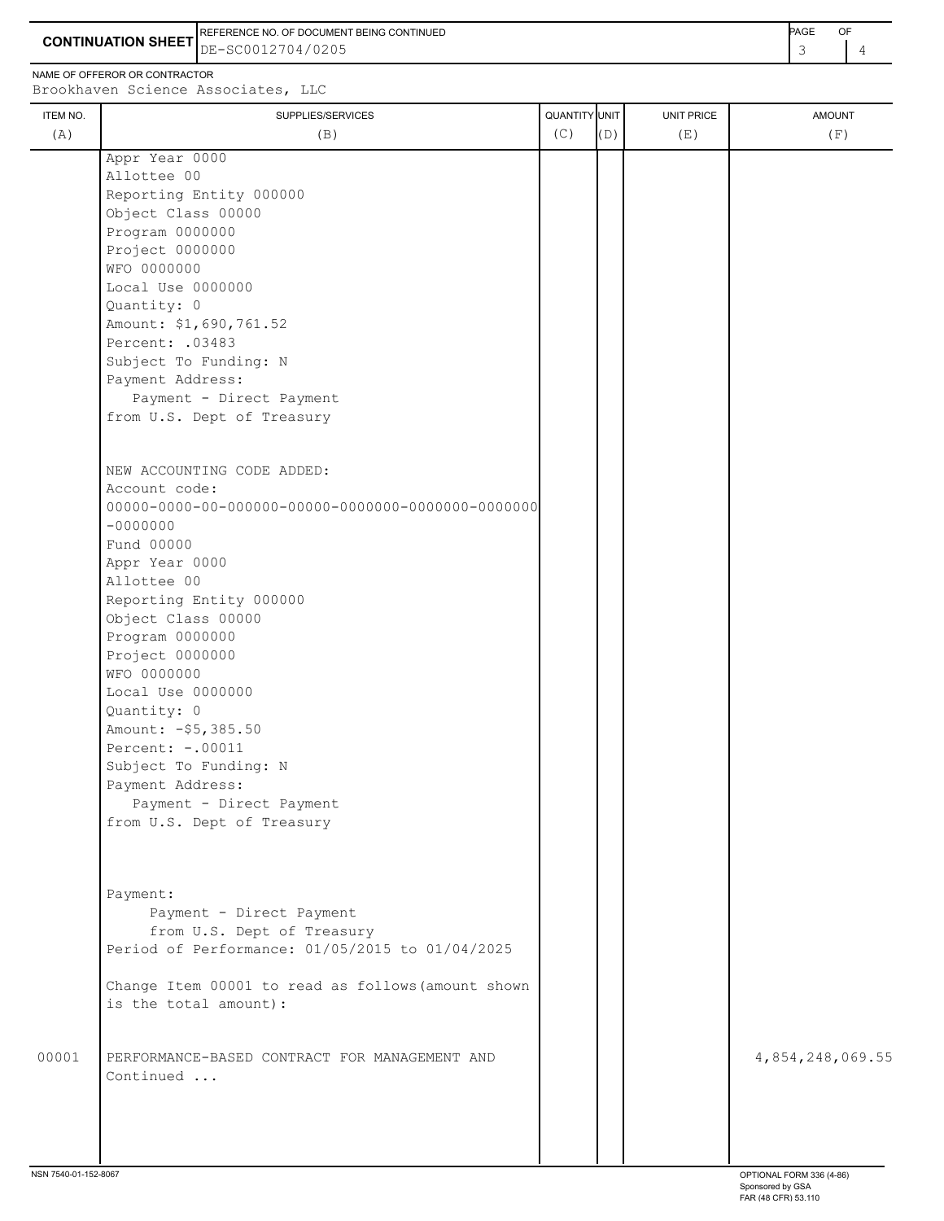**CONTINUATION SHEET** DE-SC0012704/0205 3 4 REFERENCE NO. OF DOCUMENT BEING CONTINUED **Example 20 and 20 and 20 and 20 and 20 and 20 and 20 and 20 and 20 and 20 and 20 and 20 and 20 and 20 and 20 and 20 and 20 and 20 and 20 and 20 and 20 and 20 and 20 and 20 and 20** 

NAME OF OFFEROR OR CONTRACTOR

Brookhaven Science Associates, LLC

| <b>ITEM NO.</b> | SUPPLIES/SERVICES                                                           | QUANTITY UNIT |     | UNIT PRICE | <b>AMOUNT</b>    |
|-----------------|-----------------------------------------------------------------------------|---------------|-----|------------|------------------|
| (A)             | (B)                                                                         | (C)           | (D) | (E)        | (F)              |
|                 | Appr Year 0000                                                              |               |     |            |                  |
|                 | Allottee 00                                                                 |               |     |            |                  |
|                 | Reporting Entity 000000                                                     |               |     |            |                  |
|                 | Object Class 00000                                                          |               |     |            |                  |
|                 | Program 0000000                                                             |               |     |            |                  |
|                 | Project 0000000                                                             |               |     |            |                  |
|                 | WFO 0000000                                                                 |               |     |            |                  |
|                 | Local Use 0000000                                                           |               |     |            |                  |
|                 | Quantity: 0                                                                 |               |     |            |                  |
|                 | Amount: \$1,690,761.52                                                      |               |     |            |                  |
|                 | Percent: .03483                                                             |               |     |            |                  |
|                 | Subject To Funding: N                                                       |               |     |            |                  |
|                 | Payment Address:                                                            |               |     |            |                  |
|                 | Payment - Direct Payment                                                    |               |     |            |                  |
|                 | from U.S. Dept of Treasury                                                  |               |     |            |                  |
|                 |                                                                             |               |     |            |                  |
|                 | NEW ACCOUNTING CODE ADDED:                                                  |               |     |            |                  |
|                 | Account code:                                                               |               |     |            |                  |
|                 |                                                                             |               |     |            |                  |
|                 | $-0000000$                                                                  |               |     |            |                  |
|                 | Fund 00000                                                                  |               |     |            |                  |
|                 | Appr Year 0000                                                              |               |     |            |                  |
|                 | Allottee 00                                                                 |               |     |            |                  |
|                 | Reporting Entity 000000                                                     |               |     |            |                  |
|                 | Object Class 00000                                                          |               |     |            |                  |
|                 | Program 0000000                                                             |               |     |            |                  |
|                 | Project 0000000                                                             |               |     |            |                  |
|                 | WFO 0000000                                                                 |               |     |            |                  |
|                 | Local Use 0000000                                                           |               |     |            |                  |
|                 | Quantity: 0                                                                 |               |     |            |                  |
|                 | Amount: - \$5,385.50                                                        |               |     |            |                  |
|                 | Percent: -. 00011                                                           |               |     |            |                  |
|                 | Subject To Funding: N                                                       |               |     |            |                  |
|                 | Payment Address:                                                            |               |     |            |                  |
|                 | Payment - Direct Payment                                                    |               |     |            |                  |
|                 | from U.S. Dept of Treasury                                                  |               |     |            |                  |
|                 |                                                                             |               |     |            |                  |
|                 |                                                                             |               |     |            |                  |
|                 |                                                                             |               |     |            |                  |
|                 | Payment:                                                                    |               |     |            |                  |
|                 | Payment - Direct Payment                                                    |               |     |            |                  |
|                 | from U.S. Dept of Treasury                                                  |               |     |            |                  |
|                 | Period of Performance: 01/05/2015 to 01/04/2025                             |               |     |            |                  |
|                 |                                                                             |               |     |            |                  |
|                 | Change Item 00001 to read as follows (amount shown<br>is the total amount): |               |     |            |                  |
|                 |                                                                             |               |     |            |                  |
|                 |                                                                             |               |     |            |                  |
| 00001           | PERFORMANCE-BASED CONTRACT FOR MANAGEMENT AND                               |               |     |            | 4,854,248,069.55 |
|                 | Continued                                                                   |               |     |            |                  |
|                 |                                                                             |               |     |            |                  |
|                 |                                                                             |               |     |            |                  |
|                 |                                                                             |               |     |            |                  |
|                 |                                                                             |               |     |            |                  |
|                 |                                                                             |               |     |            |                  |